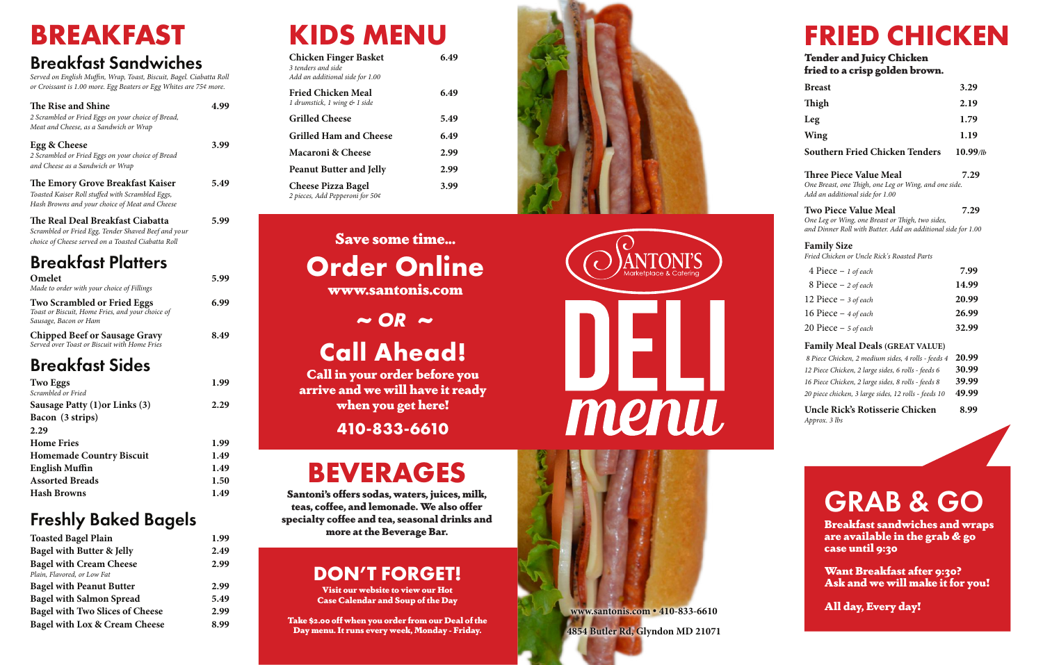**www.santonis.com** 

**• 410-833-6610 4854 Butler Rd, Glyndon MD 21071**

# **BREAKFAST**

### Breakfast Sandwiches

*Served on English Muffin, Wrap, Toast, Biscuit, Bagel. Ciabatta Roll or Croissant is 1.00 more. Egg Beaters or Egg Whites are 75¢ more.* 

| <b>The Rise and Shine</b><br>2 Scrambled or Fried Eggs on your choice of Bread,<br>Meat and Cheese, as a Sandwich or Wrap                     | 4.99 |
|-----------------------------------------------------------------------------------------------------------------------------------------------|------|
| Egg & Cheese<br>2 Scrambled or Fried Eggs on your choice of Bread<br>and Cheese as a Sandwich or Wrap                                         | 3.99 |
| The Emory Grove Breakfast Kaiser<br>Toasted Kaiser Roll stuffed with Scrambled Eggs,<br>Hash Browns and your choice of Meat and Cheese        | 5.49 |
| The Real Deal Breakfast Ciabatta<br>Scrambled or Fried Egg, Tender Shaved Beef and your<br>choice of Cheese served on a Toasted Ciabatta Roll | 5.99 |
| <b>Breakfast Platters</b>                                                                                                                     |      |
| Omelet<br>Made to order with your choice of Fillings                                                                                          | 5.99 |
| <b>Two Scrambled or Fried Eggs</b><br>Toast or Biscuit, Home Fries, and your choice of<br>Sausage, Bacon or Ham                               | 6.99 |
| <b>Chipped Beef or Sausage Gravy</b><br>Served over Toast or Biscuit with Home Fries                                                          | 8.49 |
| <b>Breakfast Sides</b>                                                                                                                        |      |
| <b>Two Eggs</b>                                                                                                                               | 1.99 |
| Scrambled or Fried<br>Sausage Patty (1) or Links (3)<br>Bacon (3 strips)<br>$\mathbf{a}$                                                      | 2.29 |

Want Breakfast after 9:30? Ask and we will make it for you!

| 2.29                            |      |
|---------------------------------|------|
| <b>Home Fries</b>               | 1.99 |
| <b>Homemade Country Biscuit</b> | 1.49 |
| <b>English Muffin</b>           | 1.49 |
| <b>Assorted Breads</b>          | 1.50 |
| <b>Hash Browns</b>              | 1.49 |
|                                 |      |

### Freshly Baked Bagels

| 1.99 |
|------|
| 2.49 |
| 2.99 |
|      |
| 2.99 |
| 5.49 |
| 2.99 |
| 8.99 |
|      |

# **KIDS MENU**

| <b>Chicken Finger Basket</b><br>3 tenders and side<br>Add an additional side for 1.00 | 6.49 |
|---------------------------------------------------------------------------------------|------|
| <b>Fried Chicken Meal</b><br>1 drumstick, 1 wing & 1 side                             | 6.49 |
| <b>Grilled Cheese</b>                                                                 | 5.49 |
| <b>Grilled Ham and Cheese</b>                                                         | 6.49 |
| Macaroni & Cheese                                                                     | 2.99 |
| <b>Peanut Butter and Jelly</b>                                                        | 2.99 |
| <b>Cheese Pizza Bagel</b><br>2 pieces, Add Pepperoni for 50¢                          | 3.99 |

# **FRIED CHICKEN**

Tender and Juicy Chicken fried to a crisp golden brown.

# GRAB & GO

Breakfast sandwiches and wraps are available in the grab & go case until 9:30

All day, Every day!

# **Call Ahead!**

Call in your order before you arrive and we will have it ready when you get here!

**410-833-6610**

# Save some time... **Order Online**

www.santonis.com

 $\sim$  *OR*  $\sim$ 

| <b>Breast</b>                                                                                                                                   | 3.29        |
|-------------------------------------------------------------------------------------------------------------------------------------------------|-------------|
| Thigh                                                                                                                                           | 2.19        |
| Leg                                                                                                                                             | 1.79        |
| Wing                                                                                                                                            | 1.19        |
| <b>Southern Fried Chicken Tenders</b>                                                                                                           | $10.99$ /lb |
| <b>Three Piece Value Meal</b><br>One Breast, one Thigh, one Leg or Wing, and one side.<br>Add an additional side for 1.00                       | 7.29        |
| <b>Two Piece Value Meal</b><br>One Leg or Wing, one Breast or Thigh, two sides,<br>and Dinner Roll with Butter. Add an additional side for 1.00 | 7.29        |
| <b>Family Size</b><br>Fried Chicken or Uncle Rick's Roasted Parts                                                                               |             |
| 4 Piece $- 1$ of each                                                                                                                           | 7.99        |
| 8 Piece - 2 of each                                                                                                                             | 14.99       |
| 12 Piece $-$ 3 of each                                                                                                                          | 20.99       |
| 16 Piece $-4$ of each                                                                                                                           | 26.99       |
| 20 Piece $-5$ of each                                                                                                                           | 32.99       |
| <b>Family Meal Deals (GREAT VALUE)</b>                                                                                                          |             |
| 8 Piece Chicken, 2 medium sides, 4 rolls - feeds 4                                                                                              | 20.99       |
| 12 Piece Chicken, 2 large sides, 6 rolls - feeds 6                                                                                              | 30.99       |

*16 Piece Chicken, 2 large sides, 8 rolls - feeds 8* **39.99**

*20 piece chicken, 3 large sides, 12 rolls - feeds 10* **49.99 Uncle Rick's Rotisserie Chicken 8.99** *Approx. 3 lbs*

# **BEVERAGES**

Santoni's offers sodas, waters, juices, milk, teas, coffee, and lemonade. We also offer specialty coffee and tea, seasonal drinks and more at the Beverage Bar.

### **DON'T FORGET!**

Visit our website to view our Hot Case Calendar and Soup of the Day

Take \$2.00 off when you order from our Deal of the Day menu. It runs every week, Monday - Friday.